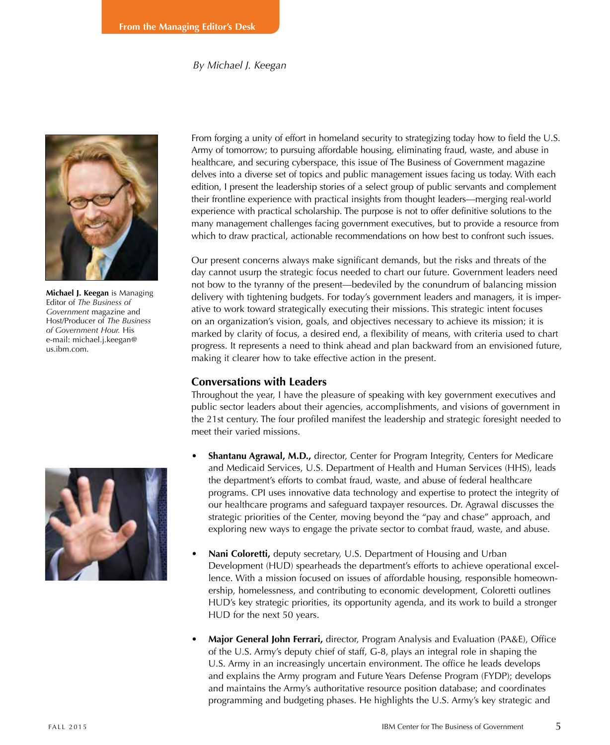#### *By Michael J. Keegan*



**Michael J. Keegan** is Managing Editor of *The Business of Government* magazine and Host/Producer of *The Business of Government Hour.* His e-mail: michael.j.keegan@ us.ibm.com.

From forging a unity of effort in homeland security to strategizing today how to field the U.S. Army of tomorrow; to pursuing affordable housing, eliminating fraud, waste, and abuse in healthcare, and securing cyberspace, this issue of The Business of Government magazine delves into a diverse set of topics and public management issues facing us today. With each edition, I present the leadership stories of a select group of public servants and complement their frontline experience with practical insights from thought leaders—merging real-world experience with practical scholarship. The purpose is not to offer definitive solutions to the many management challenges facing government executives, but to provide a resource from which to draw practical, actionable recommendations on how best to confront such issues.

Our present concerns always make significant demands, but the risks and threats of the day cannot usurp the strategic focus needed to chart our future. Government leaders need not bow to the tyranny of the present—bedeviled by the conundrum of balancing mission delivery with tightening budgets. For today's government leaders and managers, it is imperative to work toward strategically executing their missions. This strategic intent focuses on an organization's vision, goals, and objectives necessary to achieve its mission; it is marked by clarity of focus, a desired end, a flexibility of means, with criteria used to chart progress. It represents a need to think ahead and plan backward from an envisioned future, making it clearer how to take effective action in the present.

### **Conversations with Leaders**

Throughout the year, I have the pleasure of speaking with key government executives and public sector leaders about their agencies, accomplishments, and visions of government in the 21st century. The four profiled manifest the leadership and strategic foresight needed to meet their varied missions.

- **Shantanu Agrawal, M.D.,** director, Center for Program Integrity, Centers for Medicare and Medicaid Services, U.S. Department of Health and Human Services (HHS), leads the department's efforts to combat fraud, waste, and abuse of federal healthcare programs. CPI uses innovative data technology and expertise to protect the integrity of our healthcare programs and safeguard taxpayer resources. Dr. Agrawal discusses the strategic priorities of the Center, moving beyond the "pay and chase" approach, and exploring new ways to engage the private sector to combat fraud, waste, and abuse.
- **Nani Coloretti,** deputy secretary, U.S. Department of Housing and Urban Development (HUD) spearheads the department's efforts to achieve operational excellence. With a mission focused on issues of affordable housing, responsible homeownership, homelessness, and contributing to economic development, Coloretti outlines HUD's key strategic priorities, its opportunity agenda, and its work to build a stronger HUD for the next 50 years.
- **Major General John Ferrari,** director, Program Analysis and Evaluation (PA&E), Office of the U.S. Army's deputy chief of staff, G-8, plays an integral role in shaping the U.S. Army in an increasingly uncertain environment. The office he leads develops and explains the Army program and Future Years Defense Program (FYDP); develops and maintains the Army's authoritative resource position database; and coordinates programming and budgeting phases. He highlights the U.S. Army's key strategic and

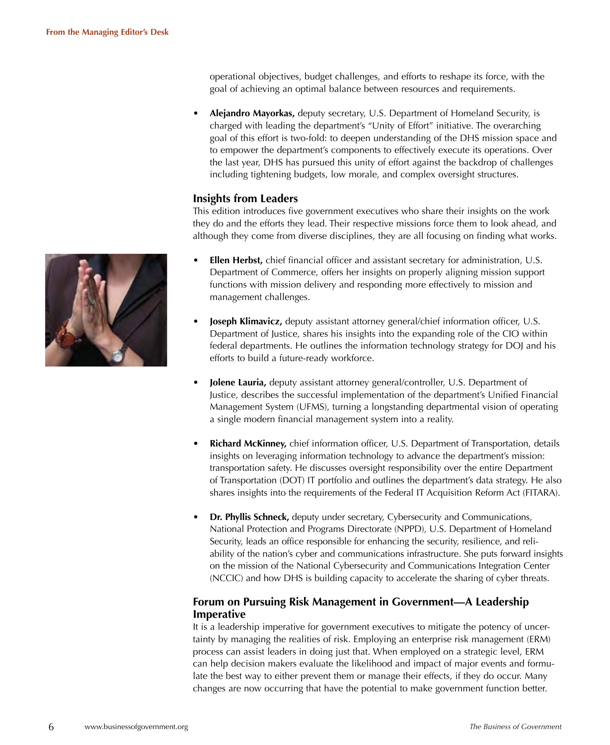operational objectives, budget challenges, and efforts to reshape its force, with the goal of achieving an optimal balance between resources and requirements.

• **Alejandro Mayorkas,** deputy secretary, U.S. Department of Homeland Security, is charged with leading the department's "Unity of Effort" initiative. The overarching goal of this effort is two-fold: to deepen understanding of the DHS mission space and to empower the department's components to effectively execute its operations. Over the last year, DHS has pursued this unity of effort against the backdrop of challenges including tightening budgets, low morale, and complex oversight structures.

# **Insights from Leaders**

This edition introduces five government executives who share their insights on the work they do and the efforts they lead. Their respective missions force them to look ahead, and although they come from diverse disciplines, they are all focusing on finding what works.

- **Ellen Herbst,** chief financial officer and assistant secretary for administration, U.S. Department of Commerce, offers her insights on properly aligning mission support functions with mission delivery and responding more effectively to mission and management challenges.
- **Joseph Klimavicz,** deputy assistant attorney general/chief information officer, U.S. Department of Justice, shares his insights into the expanding role of the CIO within federal departments. He outlines the information technology strategy for DOJ and his efforts to build a future-ready workforce.
- **Jolene Lauria,** deputy assistant attorney general/controller, U.S. Department of Justice, describes the successful implementation of the department's Unified Financial Management System (UFMS), turning a longstanding departmental vision of operating a single modern financial management system into a reality.
- **Richard McKinney,** chief information officer, U.S. Department of Transportation, details insights on leveraging information technology to advance the department's mission: transportation safety. He discusses oversight responsibility over the entire Department of Transportation (DOT) IT portfolio and outlines the department's data strategy. He also shares insights into the requirements of the Federal IT Acquisition Reform Act (FITARA).
- **Dr. Phyllis Schneck,** deputy under secretary, Cybersecurity and Communications, National Protection and Programs Directorate (NPPD), U.S. Department of Homeland Security, leads an office responsible for enhancing the security, resilience, and reliability of the nation's cyber and communications infrastructure. She puts forward insights on the mission of the National Cybersecurity and Communications Integration Center (NCCIC) and how DHS is building capacity to accelerate the sharing of cyber threats.

# **Forum on Pursuing Risk Management in Government—A Leadership Imperative**

It is a leadership imperative for government executives to mitigate the potency of uncertainty by managing the realities of risk. Employing an enterprise risk management (ERM) process can assist leaders in doing just that. When employed on a strategic level, ERM can help decision makers evaluate the likelihood and impact of major events and formulate the best way to either prevent them or manage their effects, if they do occur. Many changes are now occurring that have the potential to make government function better.